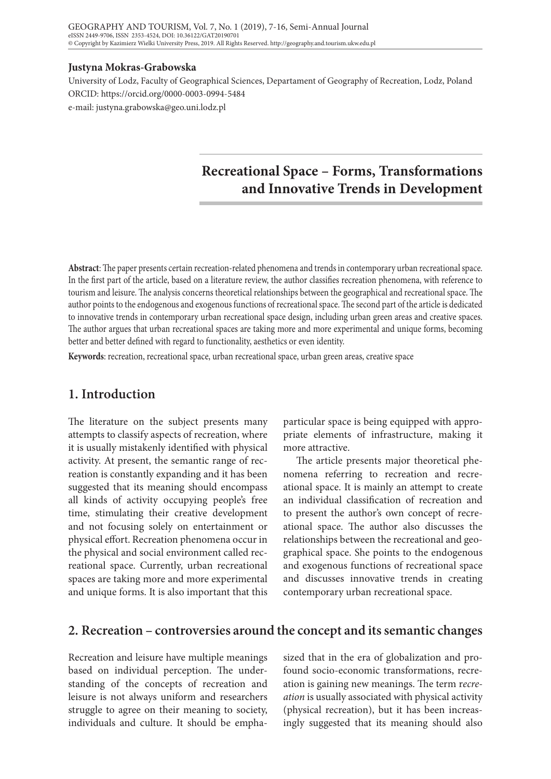#### **Justyna Mokras-Grabowska**

University of Lodz, Faculty of Geographical Sciences, Departament of Geography of Recreation, Lodz, Poland ORCID: https://orcid.org/0000-0003-0994-5484 e-mail: justyna.grabowska@geo.uni.lodz.pl

# **Recreational Space – Forms, Transformations and Innovative Trends in Development**

**Abstract**: The paper presents certain recreation-related phenomena and trends in contemporary urban recreational space. In the first part of the article, based on a literature review, the author classifies recreation phenomena, with reference to tourism and leisure. The analysis concerns theoretical relationships between the geographical and recreational space. The author points to the endogenous and exogenous functions of recreational space. The second part of the article is dedicated to innovative trends in contemporary urban recreational space design, including urban green areas and creative spaces. The author argues that urban recreational spaces are taking more and more experimental and unique forms, becoming better and better defined with regard to functionality, aesthetics or even identity.

**Keywords**: recreation, recreational space, urban recreational space, urban green areas, creative space

# **1. Introduction**

The literature on the subject presents many attempts to classify aspects of recreation, where it is usually mistakenly identified with physical activity. At present, the semantic range of recreation is constantly expanding and it has been suggested that its meaning should encompass all kinds of activity occupying people's free time, stimulating their creative development and not focusing solely on entertainment or physical effort. Recreation phenomena occur in the physical and social environment called recreational space. Currently, urban recreational spaces are taking more and more experimental and unique forms. It is also important that this

particular space is being equipped with appropriate elements of infrastructure, making it more attractive.

The article presents major theoretical phenomena referring to recreation and recreational space. It is mainly an attempt to create an individual classification of recreation and to present the author's own concept of recreational space. The author also discusses the relationships between the recreational and geographical space. She points to the endogenous and exogenous functions of recreational space and discusses innovative trends in creating contemporary urban recreational space.

## **2. Recreation – controversies around the concept and its semantic changes**

Recreation and leisure have multiple meanings based on individual perception. The understanding of the concepts of recreation and leisure is not always uniform and researchers struggle to agree on their meaning to society, individuals and culture. It should be emphasized that in the era of globalization and profound socio-economic transformations, recreation is gaining new meanings. The term r*ecreation* is usually associated with physical activity (physical recreation), but it has been increasingly suggested that its meaning should also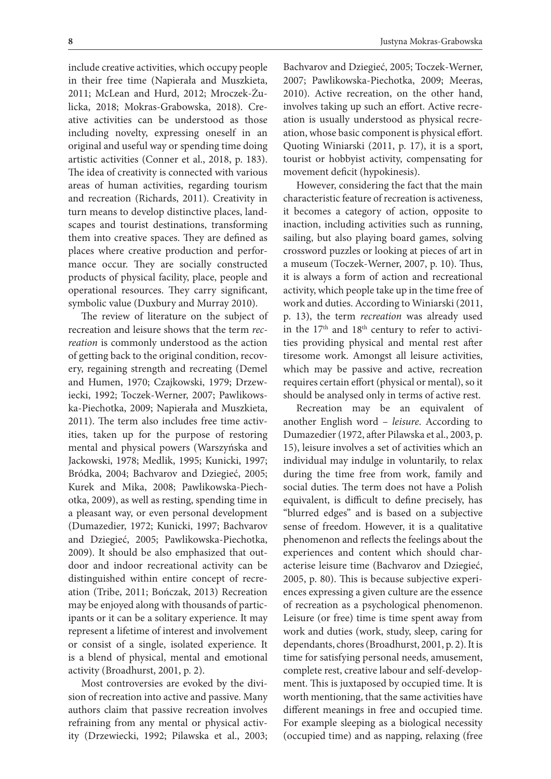include creative activities, which occupy people in their free time (Napierała and Muszkieta, 2011; McLean and Hurd, 2012; Mroczek-Żulicka, 2018; Mokras-Grabowska, 2018). Creative activities can be understood as those including novelty, expressing oneself in an original and useful way or spending time doing artistic activities (Conner et al., 2018, p. 183). The idea of creativity is connected with various areas of human activities, regarding tourism and recreation (Richards, 2011). Creativity in turn means to develop distinctive places, landscapes and tourist destinations, transforming them into creative spaces. They are defined as places where creative production and performance occur. They are socially constructed products of physical facility, place, people and operational resources. They carry significant, symbolic value (Duxbury and Murray 2010).

The review of literature on the subject of recreation and leisure shows that the term *recreation* is commonly understood as the action of getting back to the original condition, recovery, regaining strength and recreating (Demel and Humen, 1970; Czajkowski, 1979; Drzewiecki, 1992; Toczek-Werner, 2007; Pawlikowska-Piechotka, 2009; Napierała and Muszkieta, 2011). The term also includes free time activities, taken up for the purpose of restoring mental and physical powers (Warszyńska and Jackowski, 1978; Medlik, 1995; Kunicki, 1997; Bródka, 2004; Bachvarov and Dziegieć, 2005; Kurek and Mika, 2008; Pawlikowska-Piechotka, 2009), as well as resting, spending time in a pleasant way, or even personal development (Dumazedier, 1972; Kunicki, 1997; Bachvarov and Dziegieć, 2005; Pawlikowska-Piechotka, 2009). It should be also emphasized that outdoor and indoor recreational activity can be distinguished within entire concept of recreation (Tribe, 2011; Bończak, 2013) Recreation may be enjoyed along with thousands of participants or it can be a solitary experience. It may represent a lifetime of interest and involvement or consist of a single, isolated experience. It is a blend of physical, mental and emotional activity (Broadhurst, 2001, p. 2).

Most controversies are evoked by the division of recreation into active and passive. Many authors claim that passive recreation involves refraining from any mental or physical activity (Drzewiecki, 1992; Pilawska et al., 2003;

Bachvarov and Dziegieć, 2005; Toczek-Werner, 2007; Pawlikowska-Piechotka, 2009; Meeras, 2010). Active recreation, on the other hand, involves taking up such an effort. Active recreation is usually understood as physical recreation, whose basic component is physical effort. Quoting Winiarski (2011, p. 17), it is a sport, tourist or hobbyist activity, compensating for movement deficit (hypokinesis).

However, considering the fact that the main characteristic feature of recreation is activeness, it becomes a category of action, opposite to inaction, including activities such as running, sailing, but also playing board games, solving crossword puzzles or looking at pieces of art in a museum (Toczek-Werner, 2007, p. 10). Thus, it is always a form of action and recreational activity, which people take up in the time free of work and duties. According to Winiarski (2011, p. 13), the term *recreation* was already used in the  $17<sup>th</sup>$  and  $18<sup>th</sup>$  century to refer to activities providing physical and mental rest after tiresome work. Amongst all leisure activities, which may be passive and active, recreation requires certain effort (physical or mental), so it should be analysed only in terms of active rest.

Recreation may be an equivalent of another English word – *leisure*. According to Dumazedier (1972, after Pilawska et al., 2003, p. 15), leisure involves a set of activities which an individual may indulge in voluntarily, to relax during the time free from work, family and social duties. The term does not have a Polish equivalent, is difficult to define precisely, has "blurred edges" and is based on a subjective sense of freedom. However, it is a qualitative phenomenon and reflects the feelings about the experiences and content which should characterise leisure time (Bachvarov and Dziegieć, 2005, p. 80). This is because subjective experiences expressing a given culture are the essence of recreation as a psychological phenomenon. Leisure (or free) time is time spent away from work and duties (work, study, sleep, caring for dependants, chores (Broadhurst, 2001, p. 2). It is time for satisfying personal needs, amusement, complete rest, creative labour and self-development. This is juxtaposed by occupied time. It is worth mentioning, that the same activities have different meanings in free and occupied time. For example sleeping as a biological necessity (occupied time) and as napping, relaxing (free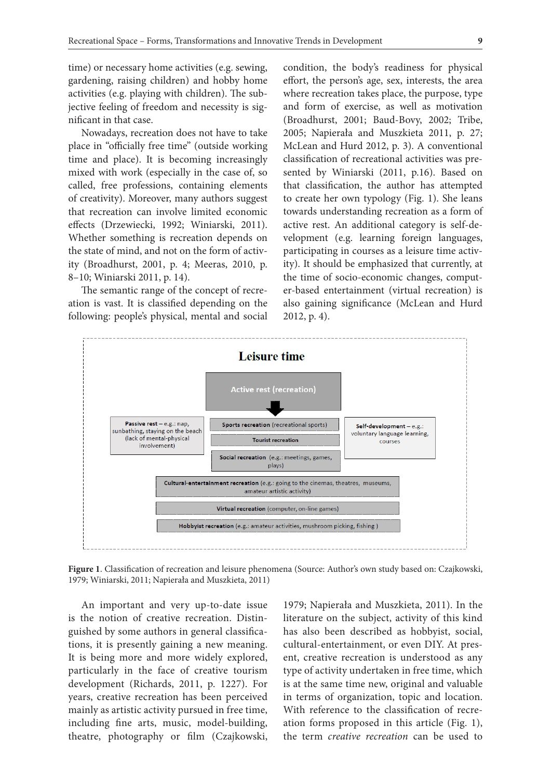time) or necessary home activities (e.g. sewing, gardening, raising children) and hobby home activities (e.g. playing with children). The subjective feeling of freedom and necessity is significant in that case.

Nowadays, recreation does not have to take place in "officially free time" (outside working time and place). It is becoming increasingly mixed with work (especially in the case of, so called, free professions, containing elements of creativity). Moreover, many authors suggest that recreation can involve limited economic effects (Drzewiecki, 1992; Winiarski, 2011). Whether something is recreation depends on the state of mind, and not on the form of activity (Broadhurst, 2001, p. 4; Meeras, 2010, p. 8–10; Winiarski 2011, p. 14).

The semantic range of the concept of recreation is vast. It is classified depending on the following: people's physical, mental and social condition, the body's readiness for physical effort, the person's age, sex, interests, the area where recreation takes place, the purpose, type and form of exercise, as well as motivation (Broadhurst, 2001; Baud-Bovy, 2002; Tribe, 2005; Napierała and Muszkieta 2011, p. 27; McLean and Hurd 2012, p. 3). A conventional classification of recreational activities was presented by Winiarski (2011, p.16). Based on that classification, the author has attempted to create her own typology (Fig. 1). She leans towards understanding recreation as a form of active rest. An additional category is self-development (e.g. learning foreign languages, participating in courses as a leisure time activity). It should be emphasized that currently, at the time of socio-economic changes, computer-based entertainment (virtual recreation) is also gaining significance (McLean and Hurd 2012, p. 4).



**Figure 1**. Classification of recreation and leisure phenomena (Source: Author's own study based on: Czajkowski, 1979; Winiarski, 2011; Napierała and Muszkieta, 2011)

An important and very up-to-date issue is the notion of creative recreation. Distinguished by some authors in general classifications, it is presently gaining a new meaning. It is being more and more widely explored, particularly in the face of creative tourism development (Richards, 2011, p. 1227). For years, creative recreation has been perceived mainly as artistic activity pursued in free time, including fine arts, music, model-building, theatre, photography or film (Czajkowski,

1979; Napierała and Muszkieta, 2011). In the literature on the subject, activity of this kind has also been described as hobbyist, social, cultural-entertainment, or even DIY. At present, creative recreation is understood as any type of activity undertaken in free time, which is at the same time new, original and valuable in terms of organization, topic and location. With reference to the classification of recreation forms proposed in this article (Fig. 1), the term *creative recreation* can be used to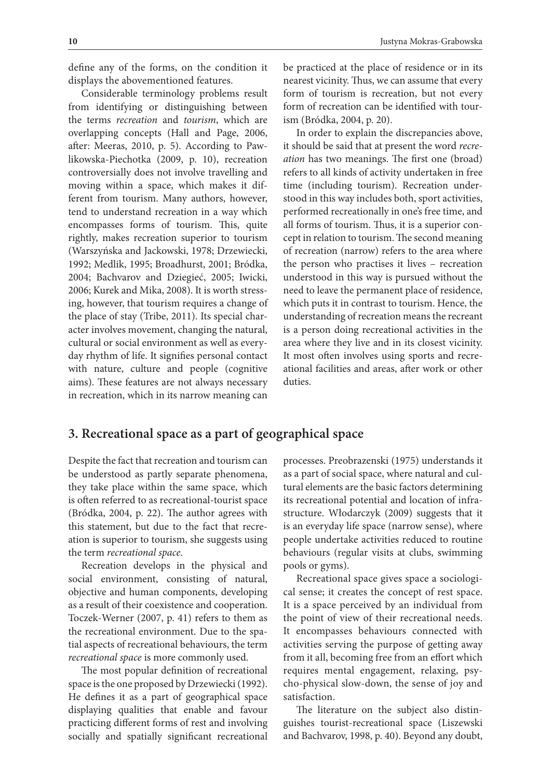define any of the forms, on the condition it displays the abovementioned features.

Considerable terminology problems result from identifying or distinguishing between the terms *recreation* and *tourism*, which are overlapping concepts (Hall and Page, 2006, after: Meeras, 2010, p. 5). According to Pawlikowska-Piechotka (2009, p. 10), recreation controversially does not involve travelling and moving within a space, which makes it different from tourism. Many authors, however, tend to understand recreation in a way which encompasses forms of tourism. This, quite rightly, makes recreation superior to tourism (Warszyńska and Jackowski, 1978; Drzewiecki, 1992; Medlik, 1995; Broadhurst, 2001; Bródka, 2004; Bachvarov and Dziegieć, 2005; Iwicki, 2006; Kurek and Mika, 2008). It is worth stressing, however, that tourism requires a change of the place of stay (Tribe, 2011). Its special character involves movement, changing the natural, cultural or social environment as well as everyday rhythm of life. It signifies personal contact with nature, culture and people (cognitive aims). These features are not always necessary in recreation, which in its narrow meaning can

be practiced at the place of residence or in its nearest vicinity. Thus, we can assume that every form of tourism is recreation, but not every form of recreation can be identified with tourism (Bródka, 2004, p. 20).

In order to explain the discrepancies above, it should be said that at present the word *recreation* has two meanings. The first one (broad) refers to all kinds of activity undertaken in free time (including tourism). Recreation understood in this way includes both, sport activities, performed recreationally in one's free time, and all forms of tourism. Thus, it is a superior concept in relation to tourism. The second meaning of recreation (narrow) refers to the area where the person who practises it lives – recreation understood in this way is pursued without the need to leave the permanent place of residence, which puts it in contrast to tourism. Hence, the understanding of recreation means the recreant is a person doing recreational activities in the area where they live and in its closest vicinity. It most often involves using sports and recreational facilities and areas, after work or other duties.

# **3. Recreational space as a part of geographical space**

Despite the fact that recreation and tourism can be understood as partly separate phenomena, they take place within the same space, which is often referred to as recreational-tourist space (Bródka, 2004, p. 22). The author agrees with this statement, but due to the fact that recreation is superior to tourism, she suggests using the term *recreational space*.

Recreation develops in the physical and social environment, consisting of natural, objective and human components, developing as a result of their coexistence and cooperation. Toczek-Werner (2007, p. 41) refers to them as the recreational environment. Due to the spatial aspects of recreational behaviours, the term *recreational space* is more commonly used.

The most popular definition of recreational space is the one proposed by Drzewiecki (1992). He defines it as a part of geographical space displaying qualities that enable and favour practicing different forms of rest and involving socially and spatially significant recreational

processes. Preobrazenski (1975) understands it as a part of social space, where natural and cultural elements are the basic factors determining its recreational potential and location of infrastructure. Włodarczyk (2009) suggests that it is an everyday life space (narrow sense), where people undertake activities reduced to routine behaviours (regular visits at clubs, swimming pools or gyms).

Recreational space gives space a sociological sense; it creates the concept of rest space. It is a space perceived by an individual from the point of view of their recreational needs. It encompasses behaviours connected with activities serving the purpose of getting away from it all, becoming free from an effort which requires mental engagement, relaxing, psycho-physical slow-down, the sense of joy and satisfaction.

The literature on the subject also distinguishes tourist-recreational space (Liszewski and Bachvarov, 1998, p. 40). Beyond any doubt,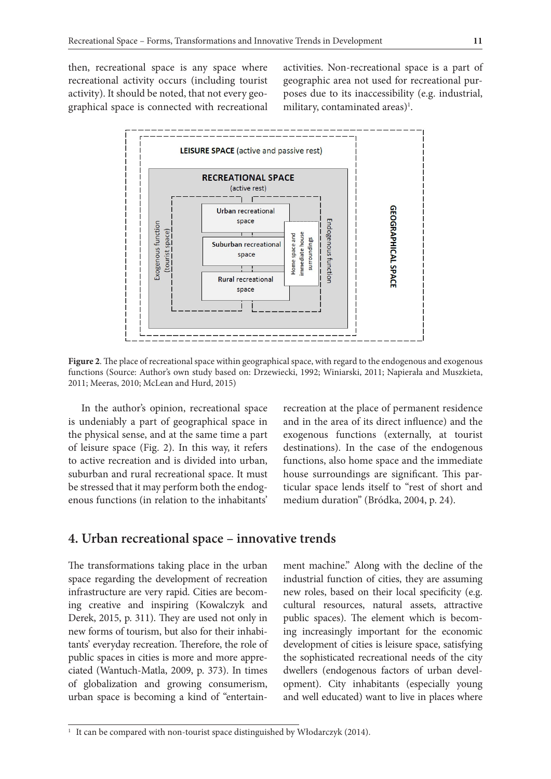then, recreational space is any space where recreational activity occurs (including tourist activity). It should be noted, that not every geographical space is connected with recreational activities. Non-recreational space is a part of geographic area not used for recreational purposes due to its inaccessibility (e.g. industrial, military, contaminated areas)<sup>1</sup>.



**Figure 2**. The place of recreational space within geographical space, with regard to the endogenous and exogenous functions (Source: Author's own study based on: Drzewiecki, 1992; Winiarski, 2011; Napierała and Muszkieta, 2011; Meeras, 2010; McLean and Hurd, 2015)

In the author's opinion, recreational space is undeniably a part of geographical space in the physical sense, and at the same time a part of leisure space (Fig. 2). In this way, it refers to active recreation and is divided into urban, suburban and rural recreational space. It must be stressed that it may perform both the endogenous functions (in relation to the inhabitants'

recreation at the place of permanent residence and in the area of its direct influence) and the exogenous functions (externally, at tourist destinations). In the case of the endogenous functions, also home space and the immediate house surroundings are significant. This particular space lends itself to "rest of short and medium duration" (Bródka, 2004, p. 24).

#### **4. Urban recreational space – innovative trends**

The transformations taking place in the urban space regarding the development of recreation infrastructure are very rapid. Cities are becoming creative and inspiring (Kowalczyk and Derek, 2015, p. 311). They are used not only in new forms of tourism, but also for their inhabitants' everyday recreation. Therefore, the role of public spaces in cities is more and more appreciated (Wantuch-Matla, 2009, p. 373). In times of globalization and growing consumerism, urban space is becoming a kind of "entertain-

ment machine." Along with the decline of the industrial function of cities, they are assuming new roles, based on their local specificity (e.g. cultural resources, natural assets, attractive public spaces). The element which is becoming increasingly important for the economic development of cities is leisure space, satisfying the sophisticated recreational needs of the city dwellers (endogenous factors of urban development). City inhabitants (especially young and well educated) want to live in places where

<sup>&</sup>lt;sup>1</sup> It can be compared with non-tourist space distinguished by Włodarczyk (2014).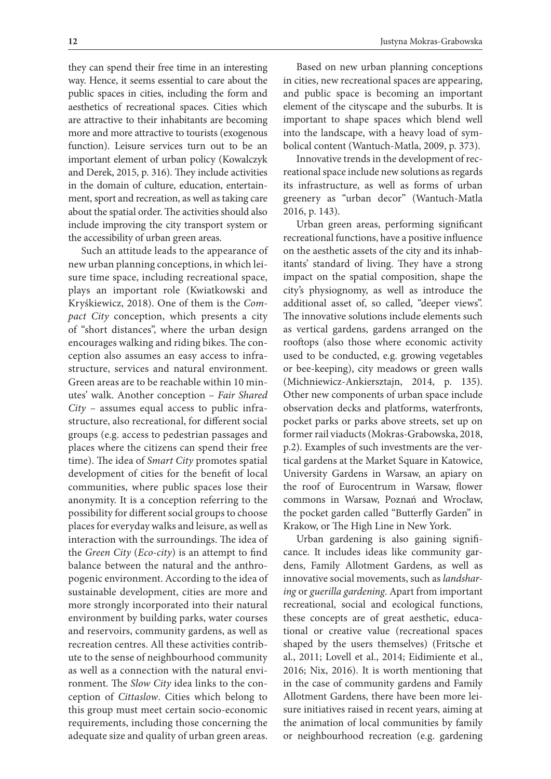they can spend their free time in an interesting way. Hence, it seems essential to care about the public spaces in cities, including the form and aesthetics of recreational spaces. Cities which are attractive to their inhabitants are becoming more and more attractive to tourists (exogenous function). Leisure services turn out to be an important element of urban policy (Kowalczyk and Derek, 2015, p. 316). They include activities in the domain of culture, education, entertainment, sport and recreation, as well as taking care about the spatial order. The activities should also include improving the city transport system or the accessibility of urban green areas.

Such an attitude leads to the appearance of new urban planning conceptions, in which leisure time space, including recreational space, plays an important role (Kwiatkowski and Kryśkiewicz, 2018). One of them is the *Compact City* conception, which presents a city of "short distances", where the urban design encourages walking and riding bikes. The conception also assumes an easy access to infrastructure, services and natural environment. Green areas are to be reachable within 10 minutes' walk. Another conception – *Fair Shared City* – assumes equal access to public infrastructure, also recreational, for different social groups (e.g. access to pedestrian passages and places where the citizens can spend their free time). The idea of *Smart City* promotes spatial development of cities for the benefit of local communities, where public spaces lose their anonymity. It is a conception referring to the possibility for different social groups to choose places for everyday walks and leisure, as well as interaction with the surroundings. The idea of the *Green City* (*Eco-city*) is an attempt to find balance between the natural and the anthropogenic environment. According to the idea of sustainable development, cities are more and more strongly incorporated into their natural environment by building parks, water courses and reservoirs, community gardens, as well as recreation centres. All these activities contribute to the sense of neighbourhood community as well as a connection with the natural environment. The *Slow City* idea links to the conception of *Cittaslow*. Cities which belong to this group must meet certain socio-economic requirements, including those concerning the adequate size and quality of urban green areas.

Based on new urban planning conceptions in cities, new recreational spaces are appearing, and public space is becoming an important element of the cityscape and the suburbs. It is important to shape spaces which blend well into the landscape, with a heavy load of symbolical content (Wantuch-Matla, 2009, p. 373).

Innovative trends in the development of recreational space include new solutions as regards its infrastructure, as well as forms of urban greenery as "urban decor" (Wantuch-Matla 2016, p. 143).

Urban green areas, performing significant recreational functions, have a positive influence on the aesthetic assets of the city and its inhabitants' standard of living. They have a strong impact on the spatial composition, shape the city's physiognomy, as well as introduce the additional asset of, so called, "deeper views". The innovative solutions include elements such as vertical gardens, gardens arranged on the rooftops (also those where economic activity used to be conducted, e.g. growing vegetables or bee-keeping), city meadows or green walls (Michniewicz-Ankiersztajn, 2014, p. 135). Other new components of urban space include observation decks and platforms, waterfronts, pocket parks or parks above streets, set up on former rail viaducts (Mokras-Grabowska, 2018, p.2). Examples of such investments are the vertical gardens at the Market Square in Katowice, University Gardens in Warsaw, an apiary on the roof of Eurocentrum in Warsaw, flower commons in Warsaw, Poznań and Wrocław, the pocket garden called "Butterfly Garden" in Krakow, or The High Line in New York.

Urban gardening is also gaining significance. It includes ideas like community gardens, Family Allotment Gardens, as well as innovative social movements, such as *landsharing* or *guerilla gardening*. Apart from important recreational, social and ecological functions, these concepts are of great aesthetic, educational or creative value (recreational spaces shaped by the users themselves) (Fritsche et al., 2011; Lovell et al., 2014; Eidimiente et al., 2016; Nix, 2016). It is worth mentioning that in the case of community gardens and Family Allotment Gardens, there have been more leisure initiatives raised in recent years, aiming at the animation of local communities by family or neighbourhood recreation (e.g. gardening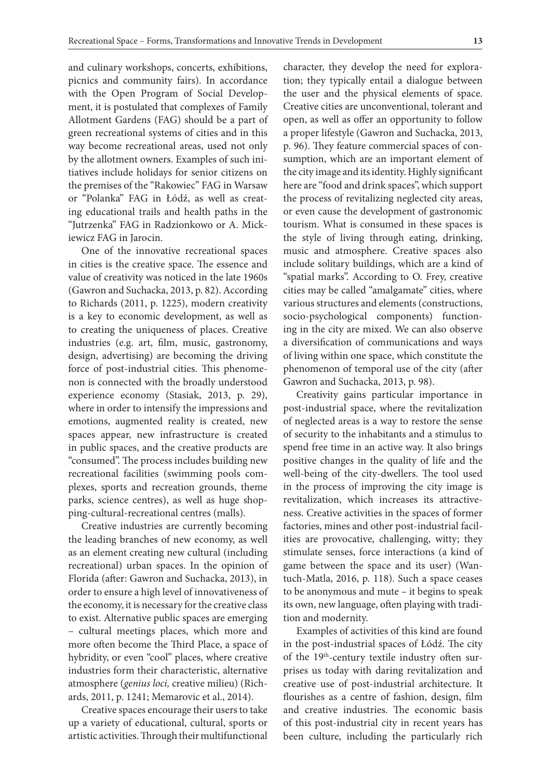and culinary workshops, concerts, exhibitions, picnics and community fairs). In accordance with the Open Program of Social Development, it is postulated that complexes of Family Allotment Gardens (FAG) should be a part of green recreational systems of cities and in this way become recreational areas, used not only by the allotment owners. Examples of such initiatives include holidays for senior citizens on the premises of the "Rakowiec" FAG in Warsaw or "Polanka" FAG in Łódź, as well as creating educational trails and health paths in the "Jutrzenka" FAG in Radzionkowo or A. Mickiewicz FAG in Jarocin.

One of the innovative recreational spaces in cities is the creative space. The essence and value of creativity was noticed in the late 1960s (Gawron and Suchacka, 2013, p. 82). According to Richards (2011, p. 1225), modern creativity is a key to economic development, as well as to creating the uniqueness of places. Creative industries (e.g. art, film, music, gastronomy, design, advertising) are becoming the driving force of post-industrial cities. This phenomenon is connected with the broadly understood experience economy (Stasiak, 2013, p. 29), where in order to intensify the impressions and emotions, augmented reality is created, new spaces appear, new infrastructure is created in public spaces, and the creative products are "consumed". The process includes building new recreational facilities (swimming pools complexes, sports and recreation grounds, theme parks, science centres), as well as huge shopping-cultural-recreational centres (malls).

Creative industries are currently becoming the leading branches of new economy, as well as an element creating new cultural (including recreational) urban spaces. In the opinion of Florida (after: Gawron and Suchacka, 2013), in order to ensure a high level of innovativeness of the economy, it is necessary for the creative class to exist. Alternative public spaces are emerging – cultural meetings places, which more and more often become the Third Place, a space of hybridity, or even "cool" places, where creative industries form their characteristic, alternative atmosphere (*genius loci,* creative milieu) (Richards, 2011, p. 1241; Memarovic et al., 2014).

Creative spaces encourage their users to take up a variety of educational, cultural, sports or artistic activities. Through their multifunctional character, they develop the need for exploration; they typically entail a dialogue between the user and the physical elements of space. Creative cities are unconventional, tolerant and open, as well as offer an opportunity to follow a proper lifestyle (Gawron and Suchacka, 2013, p. 96). They feature commercial spaces of consumption, which are an important element of the city image and its identity. Highly significant here are "food and drink spaces", which support the process of revitalizing neglected city areas, or even cause the development of gastronomic tourism. What is consumed in these spaces is the style of living through eating, drinking, music and atmosphere. Creative spaces also include solitary buildings, which are a kind of "spatial marks". According to O. Frey, creative cities may be called "amalgamate" cities, where various structures and elements (constructions, socio-psychological components) functioning in the city are mixed. We can also observe a diversification of communications and ways of living within one space, which constitute the phenomenon of temporal use of the city (after Gawron and Suchacka, 2013, p. 98).

Creativity gains particular importance in post-industrial space, where the revitalization of neglected areas is a way to restore the sense of security to the inhabitants and a stimulus to spend free time in an active way. It also brings positive changes in the quality of life and the well-being of the city-dwellers. The tool used in the process of improving the city image is revitalization, which increases its attractiveness. Creative activities in the spaces of former factories, mines and other post-industrial facilities are provocative, challenging, witty; they stimulate senses, force interactions (a kind of game between the space and its user) (Wantuch-Matla, 2016, p. 118). Such a space ceases to be anonymous and mute – it begins to speak its own, new language, often playing with tradition and modernity.

Examples of activities of this kind are found in the post-industrial spaces of Łódź. The city of the 19th-century textile industry often surprises us today with daring revitalization and creative use of post-industrial architecture. It flourishes as a centre of fashion, design, film and creative industries. The economic basis of this post-industrial city in recent years has been culture, including the particularly rich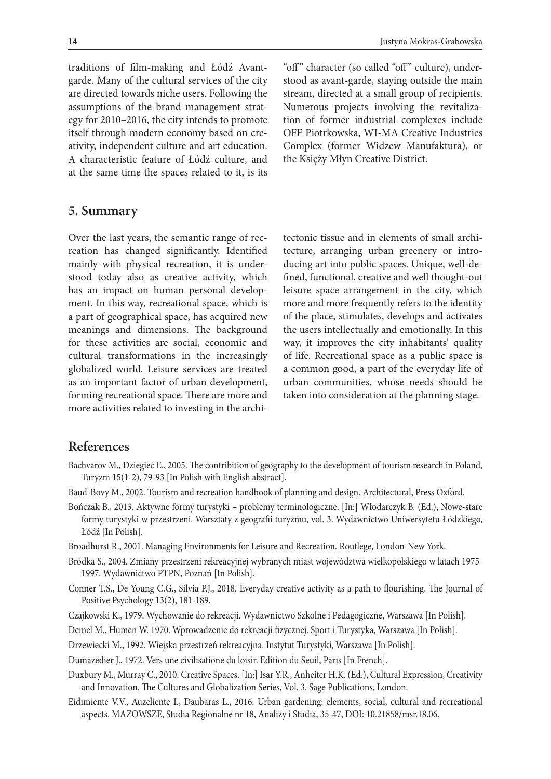traditions of film-making and Łódź Avantgarde. Many of the cultural services of the city are directed towards niche users. Following the assumptions of the brand management strategy for 2010–2016, the city intends to promote itself through modern economy based on creativity, independent culture and art education. A characteristic feature of Łódź culture, and at the same time the spaces related to it, is its

"off" character (so called "off" culture), understood as avant-garde, staying outside the main stream, directed at a small group of recipients. Numerous projects involving the revitalization of former industrial complexes include OFF Piotrkowska, WI-MA Creative Industries Complex (former Widzew Manufaktura), or the Księży Młyn Creative District.

## **5. Summary**

Over the last years, the semantic range of recreation has changed significantly. Identified mainly with physical recreation, it is understood today also as creative activity, which has an impact on human personal development. In this way, recreational space, which is a part of geographical space, has acquired new meanings and dimensions. The background for these activities are social, economic and cultural transformations in the increasingly globalized world. Leisure services are treated as an important factor of urban development, forming recreational space. There are more and more activities related to investing in the archi-

tectonic tissue and in elements of small architecture, arranging urban greenery or introducing art into public spaces. Unique, well-defined, functional, creative and well thought-out leisure space arrangement in the city, which more and more frequently refers to the identity of the place, stimulates, develops and activates the users intellectually and emotionally. In this way, it improves the city inhabitants' quality of life. Recreational space as a public space is a common good, a part of the everyday life of urban communities, whose needs should be taken into consideration at the planning stage.

## **References**

- Bachvarov M., Dziegieć E., 2005. The contribition of geography to the development of tourism research in Poland, Turyzm 15(1-2), 79-93 [In Polish with English abstract].
- Baud-Bovy M., 2002. Tourism and recreation handbook of planning and design. Architectural, Press Oxford.
- Bończak B., 2013. Aktywne formy turystyki problemy terminologiczne. [In:] Włodarczyk B. (Ed.), Nowe-stare formy turystyki w przestrzeni. Warsztaty z geografii turyzmu, vol. 3. Wydawnictwo Uniwersytetu Łódzkiego, Łódź [In Polish].
- Broadhurst R., 2001. Managing Environments for Leisure and Recreation. Routlege, London-New York.
- Bródka S., 2004. Zmiany przestrzeni rekreacyjnej wybranych miast województwa wielkopolskiego w latach 1975- 1997. Wydawnictwo PTPN, Poznań [In Polish].
- Conner T.S., De Young C.G., Silvia P.J., 2018. Everyday creative activity as a path to flourishing. The Journal of Positive Psychology 13(2), 181-189.
- Czajkowski K., 1979. Wychowanie do rekreacji. Wydawnictwo Szkolne i Pedagogiczne, Warszawa [In Polish].
- Demel M., Humen W. 1970. Wprowadzenie do rekreacji fizycznej. Sport i Turystyka, Warszawa [In Polish].
- Drzewiecki M., 1992. Wiejska przestrzeń rekreacyjna. Instytut Turystyki, Warszawa [In Polish].
- Dumazedier J., 1972. Vers une civilisatione du loisir. Edition du Seuil, Paris [In French].
- Duxbury M., Murray C., 2010. Creative Spaces. [In:] Isar Y.R., Anheiter H.K. (Ed.), Cultural Expression, Creativity and Innovation. The Cultures and Globalization Series, Vol. 3. Sage Publications, London.
- Eidimiente V.V., Auzeliente I., Daubaras L., 2016. Urban gardening: elements, social, cultural and recreational aspects. MAZOWSZE, Studia Regionalne nr 18, Analizy i Studia, 35-47, DOI: 10.21858/msr.18.06.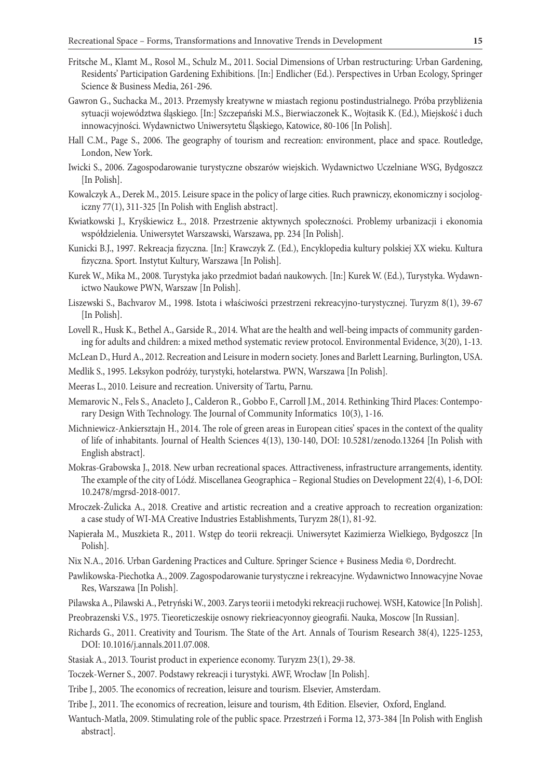- Fritsche M., Klamt M., Rosol M., Schulz M., 2011. Social Dimensions of Urban restructuring: Urban Gardening, Residents' Participation Gardening Exhibitions. [In:] Endlicher (Ed.). Perspectives in Urban Ecology, Springer Science & Business Media, 261-296.
- Gawron G., Suchacka M., 2013. Przemysły kreatywne w miastach regionu postindustrialnego. Próba przybliżenia sytuacji województwa śląskiego. [In:] Szczepański M.S., Bierwiaczonek K., Wojtasik K. (Ed.), Miejskość i duch innowacyjności. Wydawnictwo Uniwersytetu Śląskiego, Katowice, 80-106 [In Polish].
- Hall C.M., Page S., 2006. The geography of tourism and recreation: environment, place and space. Routledge, London, New York.
- Iwicki S., 2006. Zagospodarowanie turystyczne obszarów wiejskich. Wydawnictwo Uczelniane WSG, Bydgoszcz [In Polish].
- Kowalczyk A., Derek M., 2015. Leisure space in the policy of large cities. Ruch prawniczy, ekonomiczny i socjologiczny 77(1), 311-325 [In Polish with English abstract].
- Kwiatkowski J., Kryśkiewicz Ł., 2018. Przestrzenie aktywnych społeczności. Problemy urbanizacji i ekonomia współdzielenia. Uniwersytet Warszawski, Warszawa, pp. 234 [In Polish].
- Kunicki B.J., 1997. Rekreacja fizyczna. [In:] Krawczyk Z. (Ed.), Encyklopedia kultury polskiej XX wieku. Kultura fizyczna. Sport. Instytut Kultury, Warszawa [In Polish].
- Kurek W., Mika M., 2008. Turystyka jako przedmiot badań naukowych. [In:] Kurek W. (Ed.), Turystyka. Wydawnictwo Naukowe PWN, Warszaw [In Polish].
- Liszewski S., Bachvarov M., 1998. Istota i właściwości przestrzeni rekreacyjno-turystycznej. Turyzm 8(1), 39-67 [In Polish].
- Lovell R., Husk K., Bethel A., Garside R., 2014. What are the health and well-being impacts of community gardening for adults and children: a mixed method systematic review protocol. Environmental Evidence, 3(20), 1-13.

McLean D., Hurd A., 2012. Recreation and Leisure in modern society. Jones and Barlett Learning, Burlington, USA.

- Medlik S., 1995. Leksykon podróży, turystyki, hotelarstwa. PWN, Warszawa [In Polish].
- Meeras L., 2010. Leisure and recreation. University of Tartu, Parnu.
- Memarovic N., Fels S., Anacleto J., Calderon R., Gobbo F., Carroll J.M., 2014. Rethinking Third Places: Contemporary Design With Technology. The Journal of Community Informatics 10(3), 1-16.
- Michniewicz-Ankiersztajn H., 2014. The role of green areas in European cities' spaces in the context of the quality of life of inhabitants. Journal of Health Sciences 4(13), 130-140, DOI: 10.5281/zenodo.13264 [In Polish with English abstract].
- Mokras-Grabowska J., 2018. New urban recreational spaces. Attractiveness, infrastructure arrangements, identity. The example of the city of Lódź. Miscellanea Geographica – Regional Studies on Development 22(4), 1-6, DOI: 10.2478/mgrsd-2018-0017.
- Mroczek-Żulicka A., 2018. Creative and artistic recreation and a creative approach to recreation organization: a case study of WI-MA Creative Industries Establishments, Turyzm 28(1), 81-92.
- Napierała M., Muszkieta R., 2011. Wstęp do teorii rekreacji. Uniwersytet Kazimierza Wielkiego, Bydgoszcz [In Polish].
- Nix N.A., 2016. Urban Gardening Practices and Culture. Springer Science + Business Media ©, Dordrecht.
- Pawlikowska-Piechotka A., 2009. Zagospodarowanie turystyczne i rekreacyjne. Wydawnictwo Innowacyjne Novae Res, Warszawa [In Polish].
- Pilawska A., Pilawski A., Petryński W., 2003. Zarys teorii i metodyki rekreacji ruchowej. WSH, Katowice [In Polish].
- Preobrazenski V.S., 1975. Tieoreticzeskije osnowy riekrieacyonnoy gieografii. Nauka, Moscow [In Russian].
- Richards G., 2011. Creativity and Tourism. The State of the Art. Annals of Tourism Research 38(4), 1225-1253, DOI: 10.1016/j.annals.2011.07.008.
- Stasiak A., 2013. Tourist product in experience economy. Turyzm 23(1), 29-38.
- Toczek-Werner S., 2007. Podstawy rekreacji i turystyki. AWF, Wrocław [In Polish].
- Tribe J., 2005. The economics of recreation, leisure and tourism. Elsevier, Amsterdam.
- Tribe J., 2011. The economics of recreation, leisure and tourism, 4th Edition. Elsevier, Oxford, England.
- Wantuch-Matla, 2009. Stimulating role of the public space. Przestrzeń i Forma 12, 373-384 [In Polish with English abstract].